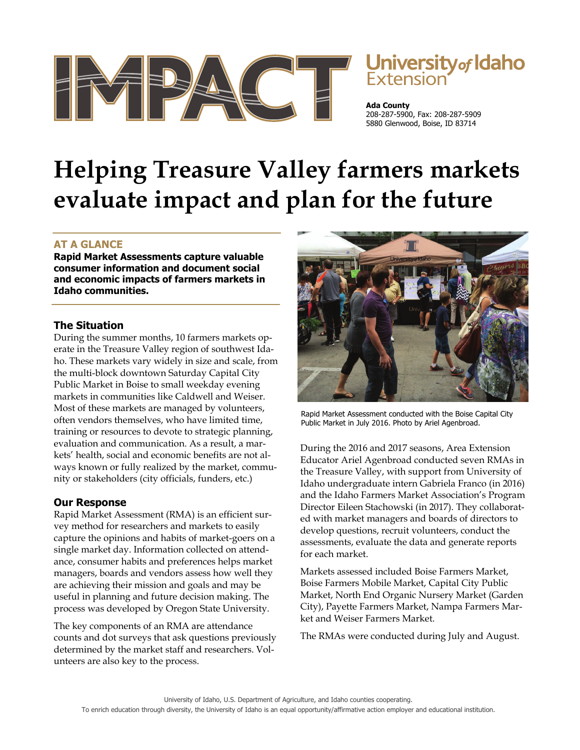

# **University of Idaho**<br>Extension

**Ada County** 208-287-5900, Fax: 208-287-5909 5880 Glenwood, Boise, ID 83714

# **Helping Treasure Valley farmers markets evaluate impact and plan for the future**

# **AT A GLANCE**

**Rapid Market Assessments capture valuable consumer information and document social and economic impacts of farmers markets in Idaho communities.** 

## **The Situation**

During the summer months, 10 farmers markets operate in the Treasure Valley region of southwest Idaho. These markets vary widely in size and scale, from the multi-block downtown Saturday Capital City Public Market in Boise to small weekday evening markets in communities like Caldwell and Weiser. Most of these markets are managed by volunteers, often vendors themselves, who have limited time, training or resources to devote to strategic planning, evaluation and communication. As a result, a markets' health, social and economic benefits are not always known or fully realized by the market, community or stakeholders (city officials, funders, etc.)

### **Our Response**

Rapid Market Assessment (RMA) is an efficient survey method for researchers and markets to easily capture the opinions and habits of market-goers on a single market day. Information collected on attendance, consumer habits and preferences helps market managers, boards and vendors assess how well they are achieving their mission and goals and may be useful in planning and future decision making. The process was developed by Oregon State University.

The key components of an RMA are attendance counts and dot surveys that ask questions previously determined by the market staff and researchers. Volunteers are also key to the process.



Rapid Market Assessment conducted with the Boise Capital City Public Market in July 2016. Photo by Ariel Agenbroad.

During the 2016 and 2017 seasons, Area Extension Educator Ariel Agenbroad conducted seven RMAs in the Treasure Valley, with support from University of Idaho undergraduate intern Gabriela Franco (in 2016) and the Idaho Farmers Market Association's Program Director Eileen Stachowski (in 2017). They collaborated with market managers and boards of directors to develop questions, recruit volunteers, conduct the assessments, evaluate the data and generate reports for each market.

Markets assessed included Boise Farmers Market, Boise Farmers Mobile Market, Capital City Public Market, North End Organic Nursery Market (Garden City), Payette Farmers Market, Nampa Farmers Market and Weiser Farmers Market.

The RMAs were conducted during July and August.